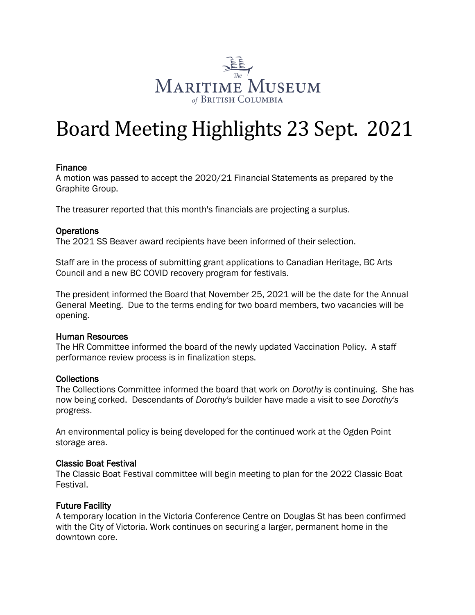

# Board Meeting Highlights 23 Sept. 2021

## Finance

A motion was passed to accept the 2020/21 Financial Statements as prepared by the Graphite Group.

The treasurer reported that this month's financials are projecting a surplus.

## **Operations**

The 2021 SS Beaver award recipients have been informed of their selection.

Staff are in the process of submitting grant applications to Canadian Heritage, BC Arts Council and a new BC COVID recovery program for festivals.

The president informed the Board that November 25, 2021 will be the date for the Annual General Meeting. Due to the terms ending for two board members, two vacancies will be opening.

#### Human Resources

The HR Committee informed the board of the newly updated Vaccination Policy. A staff performance review process is in finalization steps.

#### **Collections**

The Collections Committee informed the board that work on *Dorothy* is continuing. She has now being corked. Descendants of *Dorothy's* builder have made a visit to see *Dorothy's*  progress.

An environmental policy is being developed for the continued work at the Ogden Point storage area.

#### Classic Boat Festival

The Classic Boat Festival committee will begin meeting to plan for the 2022 Classic Boat Festival.

# Future Facility

A temporary location in the Victoria Conference Centre on Douglas St has been confirmed with the City of Victoria. Work continues on securing a larger, permanent home in the downtown core.